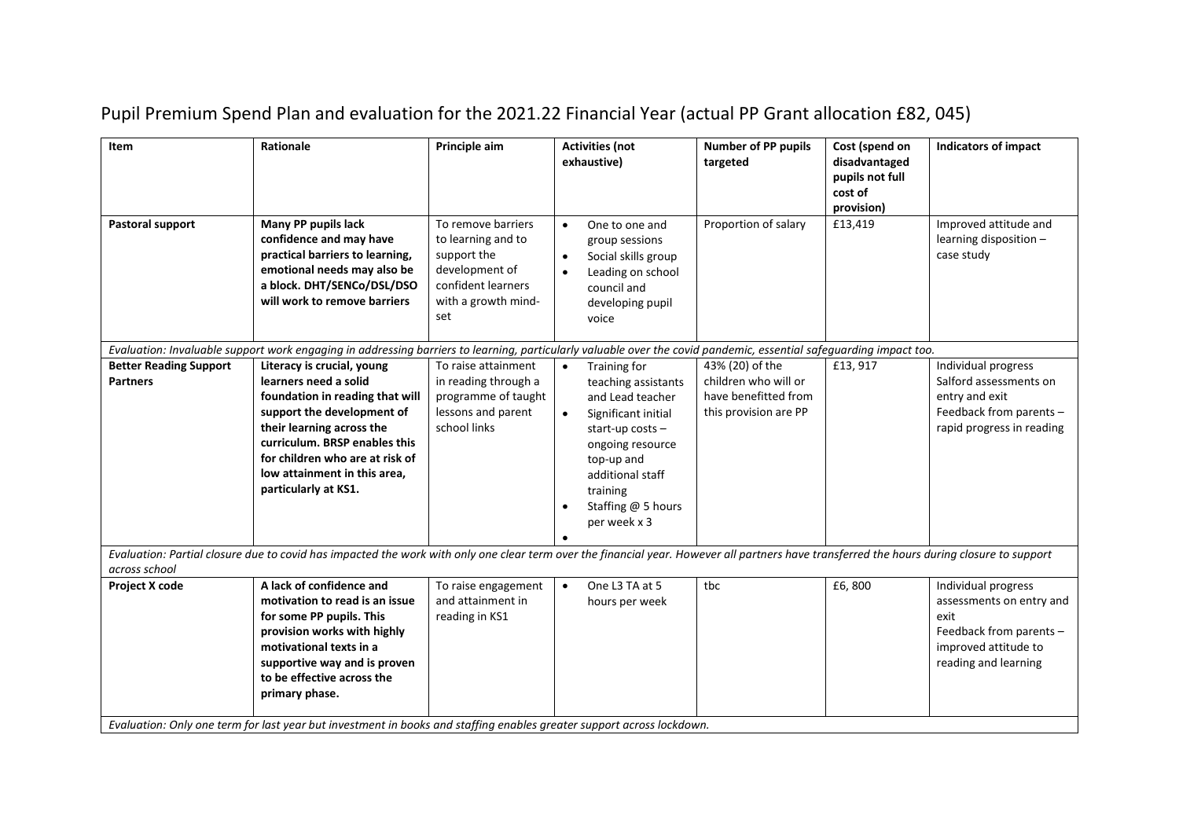| Item                                             | Rationale                                                                                                                                                                                                                                                                                                                                                 | Principle aim                                                                                                                 | <b>Activities (not</b><br>exhaustive)                                                                                                                                                                                                  | <b>Number of PP pupils</b><br>targeted                                                   | Cost (spend on<br>disadvantaged<br>pupils not full<br>cost of<br>provision) | <b>Indicators of impact</b>                                                                                                        |
|--------------------------------------------------|-----------------------------------------------------------------------------------------------------------------------------------------------------------------------------------------------------------------------------------------------------------------------------------------------------------------------------------------------------------|-------------------------------------------------------------------------------------------------------------------------------|----------------------------------------------------------------------------------------------------------------------------------------------------------------------------------------------------------------------------------------|------------------------------------------------------------------------------------------|-----------------------------------------------------------------------------|------------------------------------------------------------------------------------------------------------------------------------|
| Pastoral support                                 | Many PP pupils lack<br>confidence and may have<br>practical barriers to learning,<br>emotional needs may also be<br>a block. DHT/SENCo/DSL/DSO<br>will work to remove barriers                                                                                                                                                                            | To remove barriers<br>to learning and to<br>support the<br>development of<br>confident learners<br>with a growth mind-<br>set | One to one and<br>$\bullet$<br>group sessions<br>Social skills group<br>$\bullet$<br>Leading on school<br>$\bullet$<br>council and<br>developing pupil<br>voice                                                                        | Proportion of salary                                                                     | £13,419                                                                     | Improved attitude and<br>learning disposition -<br>case study                                                                      |
|                                                  | Evaluation: Invaluable support work engaging in addressing barriers to learning, particularly valuable over the covid pandemic, essential safeguarding impact too.                                                                                                                                                                                        |                                                                                                                               |                                                                                                                                                                                                                                        |                                                                                          |                                                                             |                                                                                                                                    |
| <b>Better Reading Support</b><br><b>Partners</b> | Literacy is crucial, young<br>learners need a solid<br>foundation in reading that will<br>support the development of<br>their learning across the<br>curriculum. BRSP enables this<br>for children who are at risk of<br>low attainment in this area,<br>particularly at KS1.                                                                             | To raise attainment<br>in reading through a<br>programme of taught<br>lessons and parent<br>school links                      | Training for<br>teaching assistants<br>and Lead teacher<br>Significant initial<br>$\bullet$<br>start-up costs $-$<br>ongoing resource<br>top-up and<br>additional staff<br>training<br>Staffing @ 5 hours<br>$\bullet$<br>per week x 3 | 43% (20) of the<br>children who will or<br>have benefitted from<br>this provision are PP | £13, 917                                                                    | Individual progress<br>Salford assessments on<br>entry and exit<br>Feedback from parents -<br>rapid progress in reading            |
| across school                                    | Evaluation: Partial closure due to covid has impacted the work with only one clear term over the financial year. However all partners have transferred the hours during closure to support                                                                                                                                                                |                                                                                                                               |                                                                                                                                                                                                                                        |                                                                                          |                                                                             |                                                                                                                                    |
| Project X code                                   | A lack of confidence and<br>motivation to read is an issue<br>for some PP pupils. This<br>provision works with highly<br>motivational texts in a<br>supportive way and is proven<br>to be effective across the<br>primary phase.<br>Evaluation: Only one term for last year but investment in books and staffing enables greater support across lockdown. | To raise engagement<br>and attainment in<br>reading in KS1                                                                    | One L3 TA at 5<br>$\bullet$<br>hours per week                                                                                                                                                                                          | tbc                                                                                      | £6,800                                                                      | Individual progress<br>assessments on entry and<br>exit<br>Feedback from parents -<br>improved attitude to<br>reading and learning |

## Pupil Premium Spend Plan and evaluation for the 2021.22 Financial Year (actual PP Grant allocation £82, 045)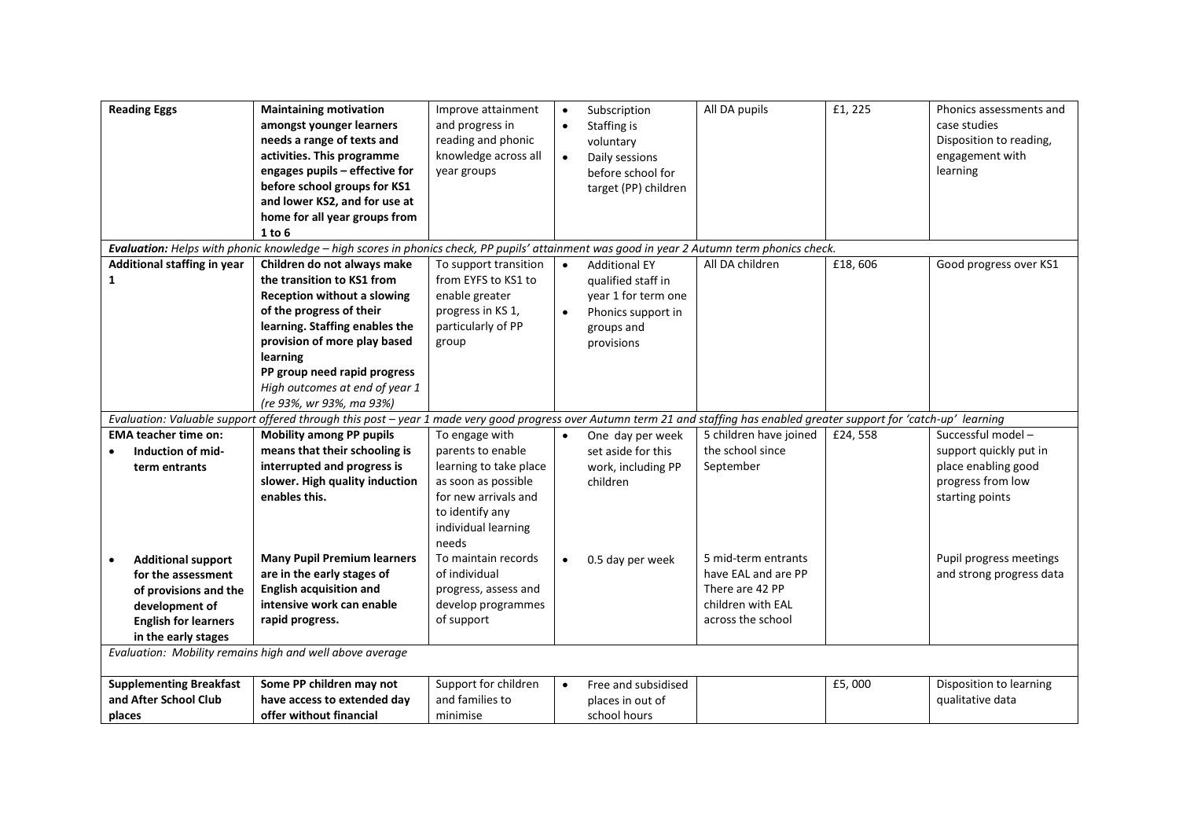| <b>Reading Eggs</b>                                                                                                                              | <b>Maintaining motivation</b><br>amongst younger learners<br>needs a range of texts and<br>activities. This programme<br>engages pupils - effective for<br>before school groups for KS1<br>and lower KS2, and for use at<br>home for all year groups from<br>1 to 6                                                                                                                                                                             | Improve attainment<br>and progress in<br>reading and phonic<br>knowledge across all<br>year groups                                                              | $\bullet$ | Subscription<br>Staffing is<br>voluntary<br>Daily sessions<br>before school for<br>target (PP) children             | All DA pupils                                                                                           | £1, 225 | Phonics assessments and<br>case studies<br>Disposition to reading,<br>engagement with<br>learning          |
|--------------------------------------------------------------------------------------------------------------------------------------------------|-------------------------------------------------------------------------------------------------------------------------------------------------------------------------------------------------------------------------------------------------------------------------------------------------------------------------------------------------------------------------------------------------------------------------------------------------|-----------------------------------------------------------------------------------------------------------------------------------------------------------------|-----------|---------------------------------------------------------------------------------------------------------------------|---------------------------------------------------------------------------------------------------------|---------|------------------------------------------------------------------------------------------------------------|
| Additional staffing in year<br>1                                                                                                                 | Evaluation: Helps with phonic knowledge - high scores in phonics check, PP pupils' attainment was good in year 2 Autumn term phonics check.<br>Children do not always make<br>the transition to KS1 from<br>Reception without a slowing<br>of the progress of their<br>learning. Staffing enables the<br>provision of more play based<br>learning<br>PP group need rapid progress<br>High outcomes at end of year 1<br>(re 93%, wr 93%, ma 93%) | To support transition<br>from EYFS to KS1 to<br>enable greater<br>progress in KS 1,<br>particularly of PP<br>group                                              | $\bullet$ | <b>Additional EY</b><br>qualified staff in<br>year 1 for term one<br>Phonics support in<br>groups and<br>provisions | All DA children                                                                                         | £18,606 | Good progress over KS1                                                                                     |
|                                                                                                                                                  | Evaluation: Valuable support offered through this post - year 1 made very good progress over Autumn term 21 and staffing has enabled greater support for 'catch-up' learning                                                                                                                                                                                                                                                                    |                                                                                                                                                                 |           |                                                                                                                     |                                                                                                         |         |                                                                                                            |
| <b>EMA teacher time on:</b><br>Induction of mid-<br>term entrants                                                                                | <b>Mobility among PP pupils</b><br>means that their schooling is<br>interrupted and progress is<br>slower. High quality induction<br>enables this.                                                                                                                                                                                                                                                                                              | To engage with<br>parents to enable<br>learning to take place<br>as soon as possible<br>for new arrivals and<br>to identify any<br>individual learning<br>needs |           | One day per week<br>set aside for this<br>work, including PP<br>children                                            | 5 children have joined<br>the school since<br>September                                                 | £24,558 | Successful model-<br>support quickly put in<br>place enabling good<br>progress from low<br>starting points |
| <b>Additional support</b><br>for the assessment<br>of provisions and the<br>development of<br><b>English for learners</b><br>in the early stages | <b>Many Pupil Premium learners</b><br>are in the early stages of<br><b>English acquisition and</b><br>intensive work can enable<br>rapid progress.                                                                                                                                                                                                                                                                                              | To maintain records<br>of individual<br>progress, assess and<br>develop programmes<br>of support                                                                | $\bullet$ | 0.5 day per week                                                                                                    | 5 mid-term entrants<br>have EAL and are PP<br>There are 42 PP<br>children with EAL<br>across the school |         | Pupil progress meetings<br>and strong progress data                                                        |
| Evaluation: Mobility remains high and well above average                                                                                         |                                                                                                                                                                                                                                                                                                                                                                                                                                                 |                                                                                                                                                                 |           |                                                                                                                     |                                                                                                         |         |                                                                                                            |
| <b>Supplementing Breakfast</b><br>and After School Club<br>places                                                                                | Some PP children may not<br>have access to extended day<br>offer without financial                                                                                                                                                                                                                                                                                                                                                              | Support for children<br>and families to<br>minimise                                                                                                             | $\bullet$ | Free and subsidised<br>places in out of<br>school hours                                                             |                                                                                                         | £5,000  | Disposition to learning<br>qualitative data                                                                |